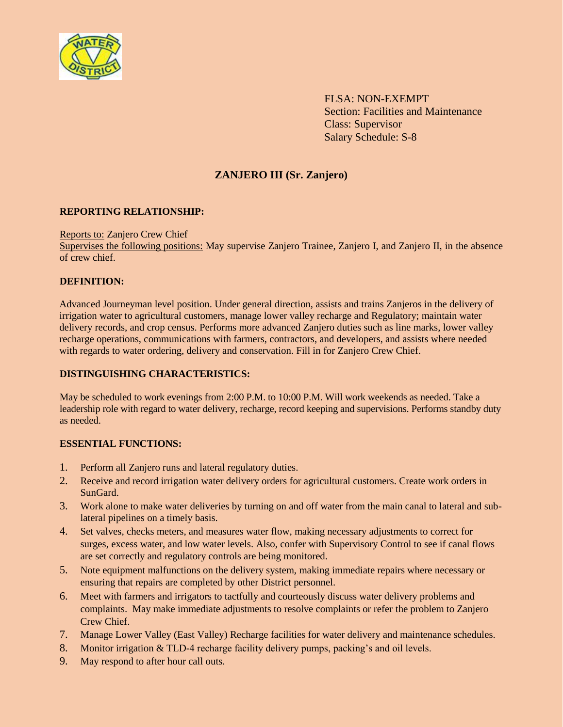

FLSA: NON-EXEMPT Section: Facilities and Maintenance Class: Supervisor Salary Schedule: S-8

# **ZANJERO III (Sr. Zanjero)**

## **REPORTING RELATIONSHIP:**

## Reports to: Zanjero Crew Chief

Supervises the following positions: May supervise Zanjero Trainee, Zanjero I, and Zanjero II, in the absence of crew chief.

## **DEFINITION:**

Advanced Journeyman level position. Under general direction, assists and trains Zanjeros in the delivery of irrigation water to agricultural customers, manage lower valley recharge and Regulatory; maintain water delivery records, and crop census. Performs more advanced Zanjero duties such as line marks, lower valley recharge operations, communications with farmers, contractors, and developers, and assists where needed with regards to water ordering, delivery and conservation. Fill in for Zanjero Crew Chief.

# **DISTINGUISHING CHARACTERISTICS:**

May be scheduled to work evenings from 2:00 P.M. to 10:00 P.M. Will work weekends as needed. Take a leadership role with regard to water delivery, recharge, record keeping and supervisions. Performs standby duty as needed.

## **ESSENTIAL FUNCTIONS:**

- 1. Perform all Zanjero runs and lateral regulatory duties.
- 2. Receive and record irrigation water delivery orders for agricultural customers. Create work orders in SunGard.
- 3. Work alone to make water deliveries by turning on and off water from the main canal to lateral and sublateral pipelines on a timely basis.
- 4. Set valves, checks meters, and measures water flow, making necessary adjustments to correct for surges, excess water, and low water levels. Also, confer with Supervisory Control to see if canal flows are set correctly and regulatory controls are being monitored.
- 5. Note equipment malfunctions on the delivery system, making immediate repairs where necessary or ensuring that repairs are completed by other District personnel.
- 6. Meet with farmers and irrigators to tactfully and courteously discuss water delivery problems and complaints. May make immediate adjustments to resolve complaints or refer the problem to Zanjero Crew Chief.
- 7. Manage Lower Valley (East Valley) Recharge facilities for water delivery and maintenance schedules.
- 8. Monitor irrigation & TLD-4 recharge facility delivery pumps, packing's and oil levels.
- 9. May respond to after hour call outs.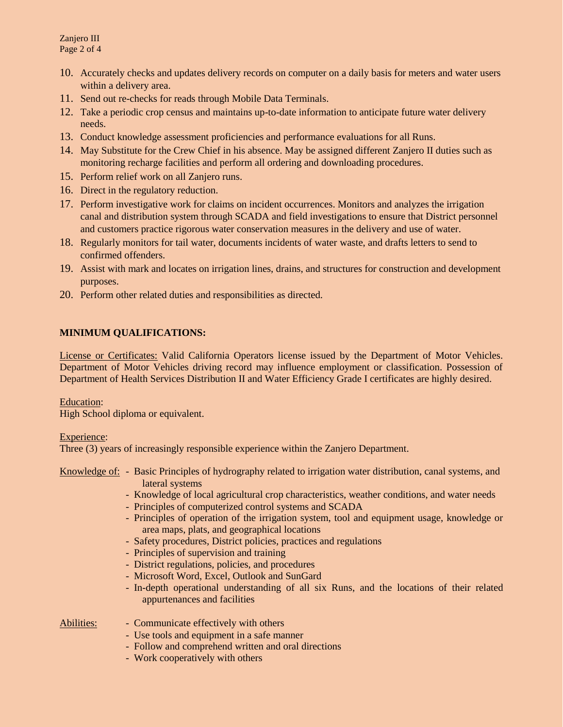Zanjero III Page 2 of 4

- 10. Accurately checks and updates delivery records on computer on a daily basis for meters and water users within a delivery area.
- 11. Send out re-checks for reads through Mobile Data Terminals.
- 12. Take a periodic crop census and maintains up-to-date information to anticipate future water delivery needs.
- 13. Conduct knowledge assessment proficiencies and performance evaluations for all Runs.
- 14. May Substitute for the Crew Chief in his absence. May be assigned different Zanjero II duties such as monitoring recharge facilities and perform all ordering and downloading procedures.
- 15. Perform relief work on all Zanjero runs.
- 16. Direct in the regulatory reduction.
- 17. Perform investigative work for claims on incident occurrences. Monitors and analyzes the irrigation canal and distribution system through SCADA and field investigations to ensure that District personnel and customers practice rigorous water conservation measures in the delivery and use of water.
- 18. Regularly monitors for tail water, documents incidents of water waste, and drafts letters to send to confirmed offenders.
- 19. Assist with mark and locates on irrigation lines, drains, and structures for construction and development purposes.
- 20. Perform other related duties and responsibilities as directed.

# **MINIMUM QUALIFICATIONS:**

License or Certificates: Valid California Operators license issued by the Department of Motor Vehicles. Department of Motor Vehicles driving record may influence employment or classification. Possession of Department of Health Services Distribution II and Water Efficiency Grade I certificates are highly desired.

## Education:

High School diploma or equivalent.

## Experience:

Three (3) years of increasingly responsible experience within the Zanjero Department.

- Knowledge of: Basic Principles of hydrography related to irrigation water distribution, canal systems, and lateral systems
	- Knowledge of local agricultural crop characteristics, weather conditions, and water needs
	- Principles of computerized control systems and SCADA
	- Principles of operation of the irrigation system, tool and equipment usage, knowledge or area maps, plats, and geographical locations
	- Safety procedures, District policies, practices and regulations
	- Principles of supervision and training
	- District regulations, policies, and procedures
	- Microsoft Word, Excel, Outlook and SunGard
	- In-depth operational understanding of all six Runs, and the locations of their related appurtenances and facilities

- Abilities: Communicate effectively with others
	- Use tools and equipment in a safe manner
	- Follow and comprehend written and oral directions
	- Work cooperatively with others